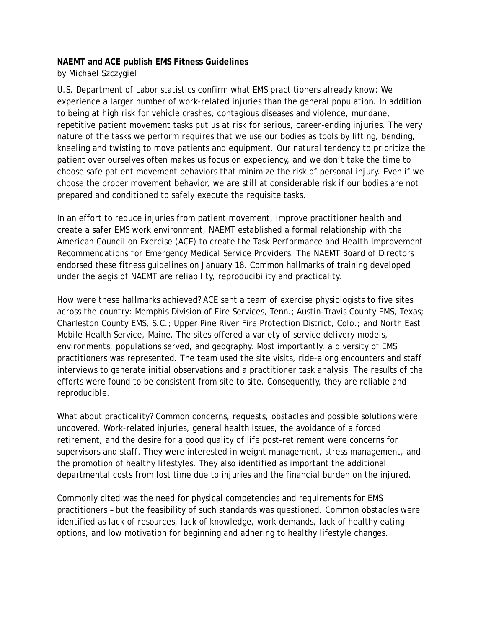## **NAEMT and ACE publish EMS Fitness Guidelines**

*by Michael Szczygiel*

U.S. Department of Labor statistics confirm what EMS practitioners already know: We experience a larger number of work-related injuries than the general population. In addition to being at high risk for vehicle crashes, contagious diseases and violence, mundane, repetitive patient movement tasks put us at risk for serious, career-ending injuries. The very nature of the tasks we perform requires that we use our bodies as tools by lifting, bending, kneeling and twisting to move patients and equipment. Our natural tendency to prioritize the patient over ourselves often makes us focus on expediency, and we don't take the time to choose safe patient movement behaviors that minimize the risk of personal injury. Even if we choose the proper movement behavior, we are still at considerable risk if our bodies are not prepared and conditioned to safely execute the requisite tasks.

In an effort to reduce injuries from patient movement, improve practitioner health and create a safer EMS work environment, NAEMT established a formal relationship with the American Council on Exercise (ACE) to create the *Task Performance and Health Improvement Recommendations for Emergency Medical Service Providers*. The NAEMT Board of Directors endorsed these fitness guidelines on January 18. Common hallmarks of training developed under the aegis of NAEMT are reliability, reproducibility and practicality.

How were these hallmarks achieved? ACE sent a team of exercise physiologists to five sites across the country: Memphis Division of Fire Services, Tenn.; Austin-Travis County EMS, Texas; Charleston County EMS, S.C.; Upper Pine River Fire Protection District, Colo.; and North East Mobile Health Service, Maine. The sites offered a variety of service delivery models, environments, populations served, and geography. Most importantly, a diversity of EMS practitioners was represented. The team used the site visits, ride-along encounters and staff interviews to generate initial observations and a practitioner task analysis. The results of the efforts were found to be consistent from site to site. Consequently, they are reliable and reproducible.

What about practicality? Common concerns, requests, obstacles and possible solutions were uncovered. Work-related injuries, general health issues, the avoidance of a forced retirement, and the desire for a good quality of life post-retirement were concerns for supervisors and staff. They were interested in weight management, stress management, and the promotion of healthy lifestyles. They also identified as important the additional departmental costs from lost time due to injuries and the financial burden on the injured.

Commonly cited was the need for physical competencies and requirements for EMS practitioners – but the feasibility of such standards was questioned. Common obstacles were identified as lack of resources, lack of knowledge, work demands, lack of healthy eating options, and low motivation for beginning and adhering to healthy lifestyle changes.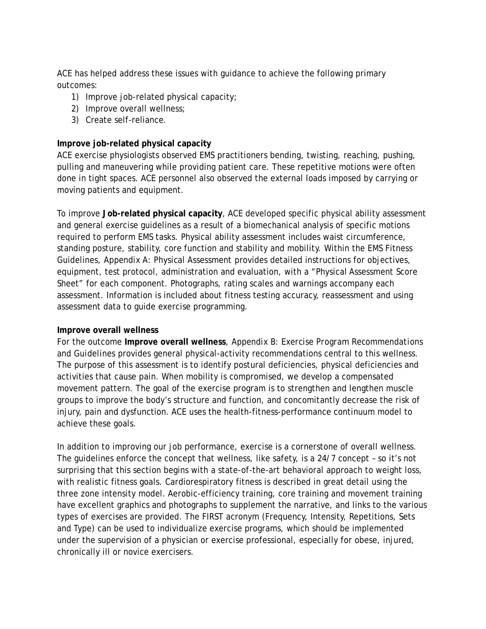ACE has helped address these issues with guidance to achieve the following primary outcomes:

- 1) Improve job-related physical capacity;
- 2) Improve overall wellness;
- 3) Create self-reliance.

# **Improve job-related physical capacity**

ACE exercise physiologists observed EMS practitioners bending, twisting, reaching, pushing, pulling and maneuvering while providing patient care. These repetitive motions were often done in tight spaces. ACE personnel also observed the external loads imposed by carrying or moving patients and equipment.

To improve **Job-related physical capacity**, ACE developed specific physical ability assessment and general exercise guidelines as a result of a biomechanical analysis of specific motions required to perform EMS tasks. Physical ability assessment includes waist circumference, standing posture, stability, core function and stability and mobility. Within the EMS Fitness Guidelines, *Appendix A: Physical Assessment* provides detailed instructions for objectives, equipment, test protocol, administration and evaluation, with a "Physical Assessment Score Sheet" for each component. Photographs, rating scales and warnings accompany each assessment. Information is included about fitness testing accuracy, reassessment and using assessment data to guide exercise programming.

# **Improve overall wellness**

For the outcome **Improve overall wellness**, *Appendix B: Exercise Program Recommendations and Guidelines* provides general physical-activity recommendations central to this wellness. The purpose of this assessment is to identify postural deficiencies, physical deficiencies and activities that cause pain. When mobility is compromised, we develop a compensated movement pattern. The goal of the exercise program is to strengthen and lengthen muscle groups to improve the body's structure and function, and concomitantly decrease the risk of injury, pain and dysfunction. ACE uses the health-fitness-performance continuum model to achieve these goals.

In addition to improving our job performance, exercise is a cornerstone of overall wellness. The guidelines enforce the concept that wellness, like safety, is a 24/7 concept – so it's not surprising that this section begins with a state-of-the-art behavioral approach to weight loss, with realistic fitness goals. Cardiorespiratory fitness is described in great detail using the three zone intensity model. Aerobic-efficiency training, core training and movement training have excellent graphics and photographs to supplement the narrative, and links to the various types of exercises are provided. The FIRST acronym (Frequency, Intensity, Repetitions, Sets and Type) can be used to individualize exercise programs, which should be implemented under the supervision of a physician or exercise professional, especially for obese, injured, chronically ill or novice exercisers.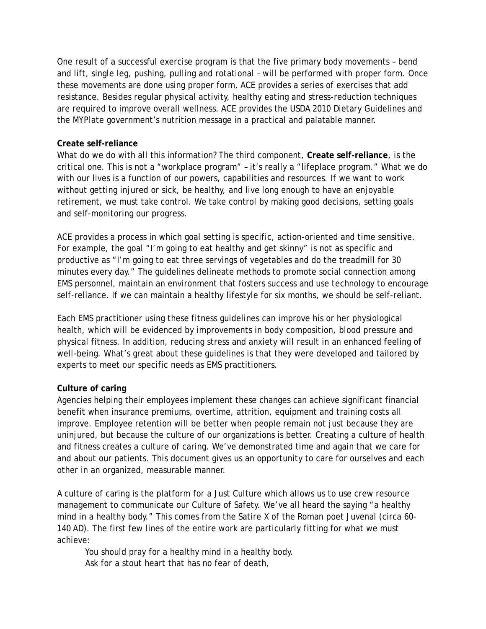One result of a successful exercise program is that the five primary body movements – bend and lift, single leg, pushing, pulling and rotational – will be performed with proper form. Once these movements are done using proper form, ACE provides a series of exercises that add resistance. Besides regular physical activity, healthy eating and stress-reduction techniques are required to improve overall wellness. ACE provides the USDA 2010 Dietary Guidelines and the MYPlate government's nutrition message in a practical and palatable manner.

## **Create self-reliance**

What do we do with all this information? The third component, **Create self-reliance**, is the critical one. This is not a "workplace program" – it's really a "lifeplace program." What we do with our lives is a function of our powers, capabilities and resources. If we want to work without getting injured or sick, be healthy, and live long enough to have an enjoyable retirement, we must take control. We take control by making good decisions, setting goals and self-monitoring our progress.

ACE provides a process in which goal setting is specific, action-oriented and time sensitive. For example, the goal "I'm going to eat healthy and get skinny" is not as specific and productive as "I'm going to eat three servings of vegetables and do the treadmill for 30 minutes every day." The guidelines delineate methods to promote social connection among EMS personnel, maintain an environment that fosters success and use technology to encourage self-reliance. If we can maintain a healthy lifestyle for six months, we should be self-reliant.

Each EMS practitioner using these fitness guidelines can improve his or her physiological health, which will be evidenced by improvements in body composition, blood pressure and physical fitness. In addition, reducing stress and anxiety will result in an enhanced feeling of well-being. What's great about these guidelines is that they were developed and tailored by experts to meet our specific needs as EMS practitioners.

#### **Culture of caring**

Agencies helping their employees implement these changes can achieve significant financial benefit when insurance premiums, overtime, attrition, equipment and training costs all improve. Employee retention will be better when people remain not just because they are uninjured, but because the culture of our organizations is better. Creating a culture of health and fitness creates a culture of caring. We've demonstrated time and again that we care for and about our patients. This document gives us an opportunity to care for ourselves and each other in an organized, measurable manner.

A culture of caring is the platform for a Just Culture which allows us to use crew resource management to communicate our Culture of Safety. We've all heard the saying "a healthy mind in a healthy body." This comes from the Satire X of the Roman poet Juvenal (circa 60- 140 AD). The first few lines of the entire work are particularly fitting for what we must achieve:

You should pray for a healthy mind in a healthy body. Ask for a stout heart that has no fear of death,